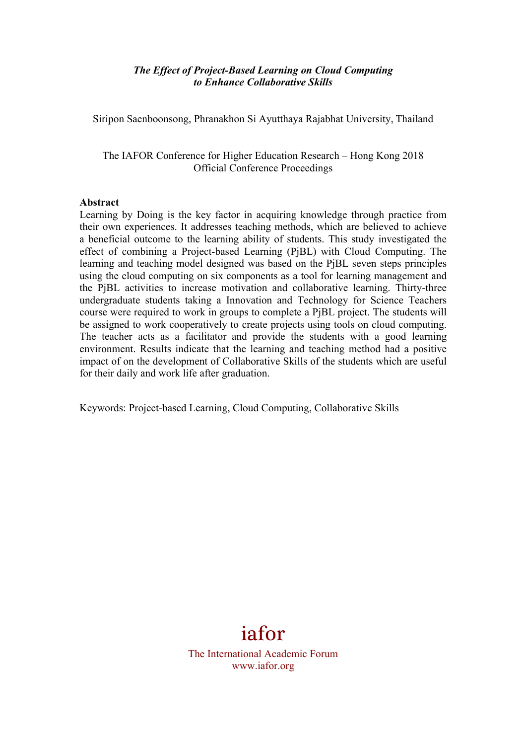#### *The Effect of Project-Based Learning on Cloud Computing to Enhance Collaborative Skills*

Siripon Saenboonsong, Phranakhon Si Ayutthaya Rajabhat University, Thailand

The IAFOR Conference for Higher Education Research – Hong Kong 2018 Official Conference Proceedings

#### **Abstract**

Learning by Doing is the key factor in acquiring knowledge through practice from their own experiences. It addresses teaching methods, which are believed to achieve a beneficial outcome to the learning ability of students. This study investigated the effect of combining a Project-based Learning (PjBL) with Cloud Computing. The learning and teaching model designed was based on the PjBL seven steps principles using the cloud computing on six components as a tool for learning management and the PjBL activities to increase motivation and collaborative learning. Thirty-three undergraduate students taking a Innovation and Technology for Science Teachers course were required to work in groups to complete a PjBL project. The students will be assigned to work cooperatively to create projects using tools on cloud computing. The teacher acts as a facilitator and provide the students with a good learning environment. Results indicate that the learning and teaching method had a positive impact of on the development of Collaborative Skills of the students which are useful for their daily and work life after graduation.

Keywords: Project-based Learning, Cloud Computing, Collaborative Skills

# iafor

The International Academic Forum www.iafor.org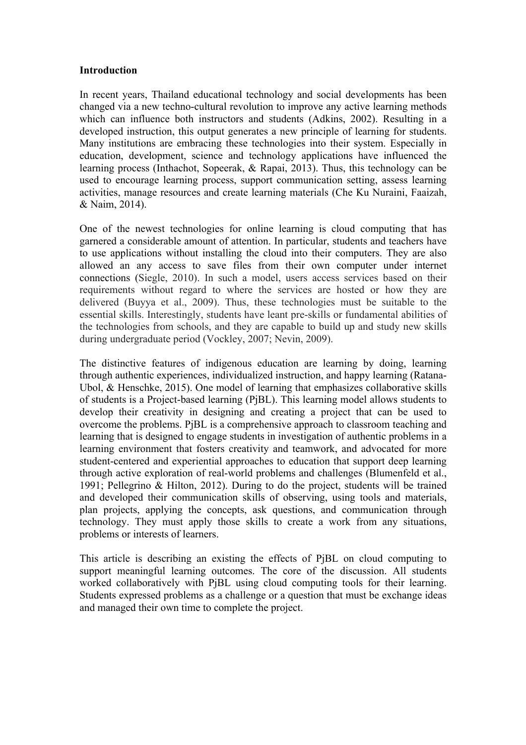#### **Introduction**

In recent years, Thailand educational technology and social developments has been changed via a new techno-cultural revolution to improve any active learning methods which can influence both instructors and students (Adkins, 2002). Resulting in a developed instruction, this output generates a new principle of learning for students. Many institutions are embracing these technologies into their system. Especially in education, development, science and technology applications have influenced the learning process (Inthachot, Sopeerak, & Rapai, 2013). Thus, this technology can be used to encourage learning process, support communication setting, assess learning activities, manage resources and create learning materials (Che Ku Nuraini, Faaizah, & Naim, 2014).

One of the newest technologies for online learning is cloud computing that has garnered a considerable amount of attention. In particular, students and teachers have to use applications without installing the cloud into their computers. They are also allowed an any access to save files from their own computer under internet connections (Siegle, 2010). In such a model, users access services based on their requirements without regard to where the services are hosted or how they are delivered (Buyya et al., 2009). Thus, these technologies must be suitable to the essential skills. Interestingly, students have leant pre-skills or fundamental abilities of the technologies from schools, and they are capable to build up and study new skills during undergraduate period (Vockley, 2007; Nevin, 2009).

The distinctive features of indigenous education are learning by doing, learning through authentic experiences, individualized instruction, and happy learning (Ratana-Ubol, & Henschke, 2015). One model of learning that emphasizes collaborative skills of students is a Project-based learning (PjBL). This learning model allows students to develop their creativity in designing and creating a project that can be used to overcome the problems. PjBL is a comprehensive approach to classroom teaching and learning that is designed to engage students in investigation of authentic problems in a learning environment that fosters creativity and teamwork, and advocated for more student-centered and experiential approaches to education that support deep learning through active exploration of real-world problems and challenges (Blumenfeld et al., 1991; Pellegrino & Hilton, 2012). During to do the project, students will be trained and developed their communication skills of observing, using tools and materials, plan projects, applying the concepts, ask questions, and communication through technology. They must apply those skills to create a work from any situations, problems or interests of learners.

This article is describing an existing the effects of PjBL on cloud computing to support meaningful learning outcomes. The core of the discussion. All students worked collaboratively with PjBL using cloud computing tools for their learning. Students expressed problems as a challenge or a question that must be exchange ideas and managed their own time to complete the project.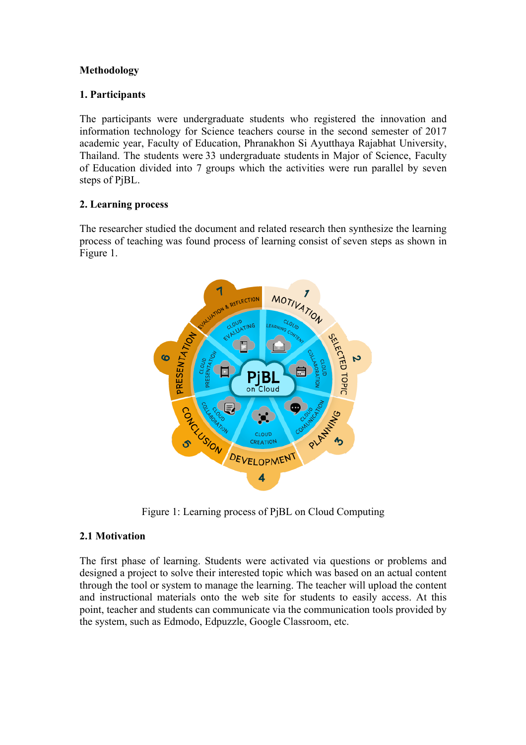# **Methodology**

# **1. Participants**

The participants were undergraduate students who registered the innovation and information technology for Science teachers course in the second semester of 2017 academic year, Faculty of Education, Phranakhon Si Ayutthaya Rajabhat University, Thailand. The students were 33 undergraduate students in Major of Science, Faculty of Education divided into 7 groups which the activities were run parallel by seven steps of PjBL.

# **2. Learning process**

The researcher studied the document and related research then synthesize the learning process of teaching was found process of learning consist of seven steps as shown in Figure 1.



Figure 1: Learning process of PjBL on Cloud Computing

# **2.1 Motivation**

The first phase of learning. Students were activated via questions or problems and designed a project to solve their interested topic which was based on an actual content through the tool or system to manage the learning. The teacher will upload the content and instructional materials onto the web site for students to easily access. At this point, teacher and students can communicate via the communication tools provided by the system, such as Edmodo, Edpuzzle, Google Classroom, etc.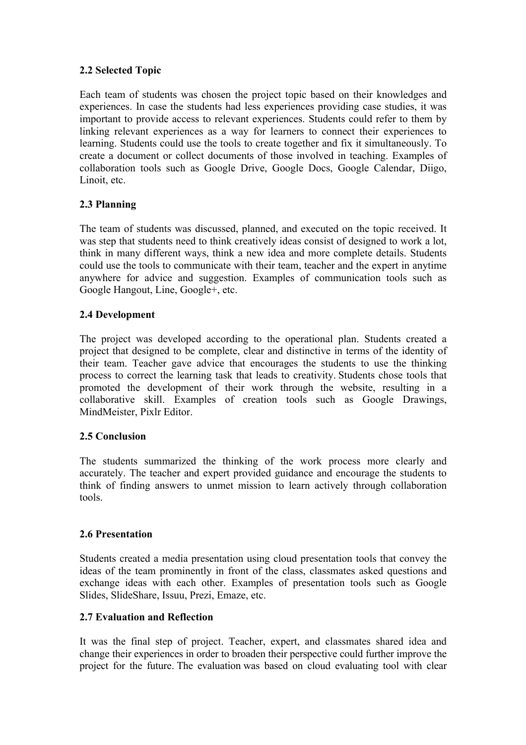# **2.2 Selected Topic**

Each team of students was chosen the project topic based on their knowledges and experiences. In case the students had less experiences providing case studies, it was important to provide access to relevant experiences. Students could refer to them by linking relevant experiences as a way for learners to connect their experiences to learning. Students could use the tools to create together and fix it simultaneously. To create a document or collect documents of those involved in teaching. Examples of collaboration tools such as Google Drive, Google Docs, Google Calendar, Diigo, Linoit, etc.

# **2.3 Planning**

The team of students was discussed, planned, and executed on the topic received. It was step that students need to think creatively ideas consist of designed to work a lot, think in many different ways, think a new idea and more complete details. Students could use the tools to communicate with their team, teacher and the expert in anytime anywhere for advice and suggestion. Examples of communication tools such as Google Hangout, Line, Google+, etc.

# **2.4 Development**

The project was developed according to the operational plan. Students created a project that designed to be complete, clear and distinctive in terms of the identity of their team. Teacher gave advice that encourages the students to use the thinking process to correct the learning task that leads to creativity. Students chose tools that promoted the development of their work through the website, resulting in a collaborative skill. Examples of creation tools such as Google Drawings, MindMeister, Pixlr Editor.

## **2.5 Conclusion**

The students summarized the thinking of the work process more clearly and accurately. The teacher and expert provided guidance and encourage the students to think of finding answers to unmet mission to learn actively through collaboration tools.

## **2.6 Presentation**

Students created a media presentation using cloud presentation tools that convey the ideas of the team prominently in front of the class, classmates asked questions and exchange ideas with each other. Examples of presentation tools such as Google Slides, SlideShare, Issuu, Prezi, Emaze, etc.

## **2.7 Evaluation and Reflection**

It was the final step of project. Teacher, expert, and classmates shared idea and change their experiences in order to broaden their perspective could further improve the project for the future. The evaluation was based on cloud evaluating tool with clear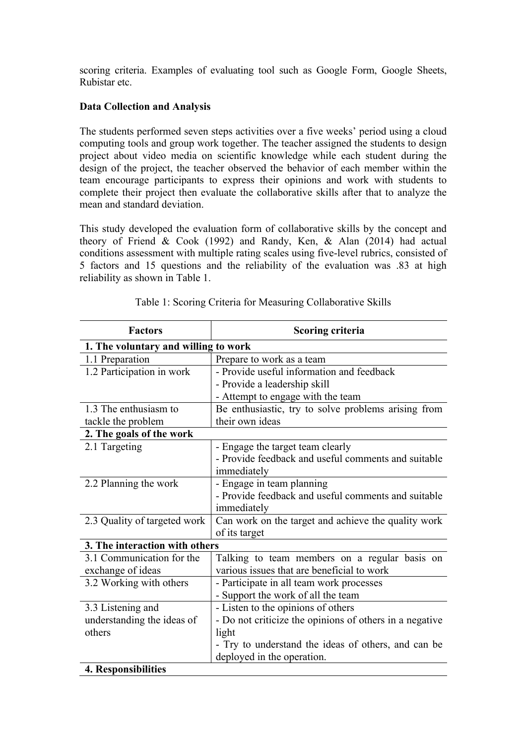scoring criteria. Examples of evaluating tool such as Google Form, Google Sheets, Rubistar etc.

## **Data Collection and Analysis**

The students performed seven steps activities over a five weeks' period using a cloud computing tools and group work together. The teacher assigned the students to design project about video media on scientific knowledge while each student during the design of the project, the teacher observed the behavior of each member within the team encourage participants to express their opinions and work with students to complete their project then evaluate the collaborative skills after that to analyze the mean and standard deviation.

This study developed the evaluation form of collaborative skills by the concept and theory of Friend & Cook (1992) and Randy, Ken, & Alan (2014) had actual conditions assessment with multiple rating scales using five-level rubrics, consisted of 5 factors and 15 questions and the reliability of the evaluation was .83 at high reliability as shown in Table 1.

| <b>Factors</b>                       | <b>Scoring criteria</b>                                 |  |
|--------------------------------------|---------------------------------------------------------|--|
| 1. The voluntary and willing to work |                                                         |  |
| 1.1 Preparation                      | Prepare to work as a team                               |  |
| 1.2 Participation in work            | - Provide useful information and feedback               |  |
|                                      | - Provide a leadership skill                            |  |
|                                      | - Attempt to engage with the team                       |  |
| 1.3 The enthusiasm to                | Be enthusiastic, try to solve problems arising from     |  |
| tackle the problem                   | their own ideas                                         |  |
| 2. The goals of the work             |                                                         |  |
| 2.1 Targeting                        | - Engage the target team clearly                        |  |
|                                      | - Provide feedback and useful comments and suitable     |  |
|                                      | immediately                                             |  |
| 2.2 Planning the work                | - Engage in team planning                               |  |
|                                      | - Provide feedback and useful comments and suitable     |  |
|                                      | immediately                                             |  |
| 2.3 Quality of targeted work         | Can work on the target and achieve the quality work     |  |
|                                      | of its target                                           |  |
| 3. The interaction with others       |                                                         |  |
| 3.1 Communication for the            | Talking to team members on a regular basis on           |  |
| exchange of ideas                    | various issues that are beneficial to work              |  |
| 3.2 Working with others              | - Participate in all team work processes                |  |
|                                      | - Support the work of all the team                      |  |
| 3.3 Listening and                    | - Listen to the opinions of others                      |  |
| understanding the ideas of           | - Do not criticize the opinions of others in a negative |  |
| others                               | light                                                   |  |
|                                      | - Try to understand the ideas of others, and can be     |  |
|                                      | deployed in the operation.                              |  |
| 4. Responsibilities                  |                                                         |  |

Table 1: Scoring Criteria for Measuring Collaborative Skills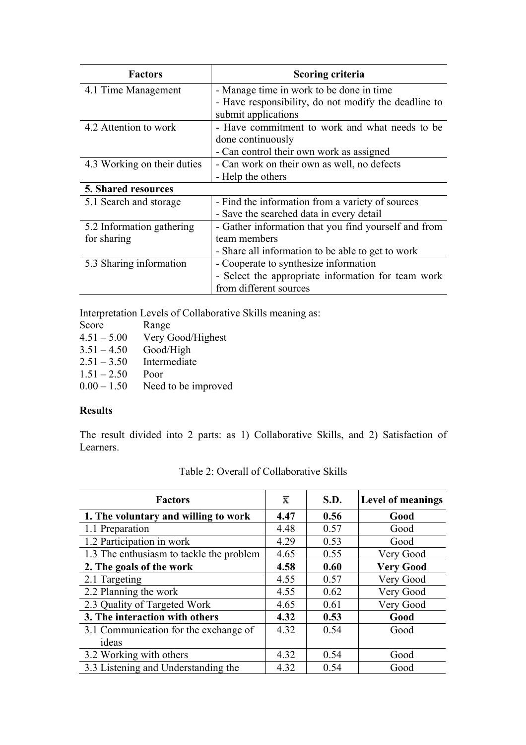| <b>Factors</b>              | <b>Scoring criteria</b>                              |
|-----------------------------|------------------------------------------------------|
| 4.1 Time Management         | - Manage time in work to be done in time             |
|                             | - Have responsibility, do not modify the deadline to |
|                             | submit applications                                  |
| 4.2 Attention to work       | - Have commitment to work and what needs to be       |
|                             | done continuously                                    |
|                             | - Can control their own work as assigned             |
| 4.3 Working on their duties | - Can work on their own as well, no defects          |
|                             | - Help the others                                    |
| <b>5. Shared resources</b>  |                                                      |
| 5.1 Search and storage      | - Find the information from a variety of sources     |
|                             | - Save the searched data in every detail             |
| 5.2 Information gathering   | - Gather information that you find yourself and from |
| for sharing                 | team members                                         |
|                             | - Share all information to be able to get to work    |
| 5.3 Sharing information     | - Cooperate to synthesize information                |
|                             | - Select the appropriate information for team work   |
|                             | from different sources                               |

Interpretation Levels of Collaborative Skills meaning as:

| Score         | Range               |
|---------------|---------------------|
| $4.51 - 5.00$ | Very Good/Highest   |
| $3.51 - 4.50$ | Good/High           |
| $2.51 - 3.50$ | Intermediate        |
| $1.51 - 2.50$ | Poor                |
| $0.00 - 1.50$ | Need to be improved |

## **Results**

The result divided into 2 parts: as 1) Collaborative Skills, and 2) Satisfaction of Learners.

| <b>Factors</b>                           | $\overline{\mathbf{x}}$ | S.D. | <b>Level of meanings</b> |
|------------------------------------------|-------------------------|------|--------------------------|
| 1. The voluntary and willing to work     | 4.47                    | 0.56 | Good                     |
| 1.1 Preparation                          | 4.48                    | 0.57 | Good                     |
| 1.2 Participation in work                | 4.29                    | 0.53 | Good                     |
| 1.3 The enthusiasm to tackle the problem | 4.65                    | 0.55 | Very Good                |
| 2. The goals of the work                 | 4.58                    | 0.60 | <b>Very Good</b>         |
| 2.1 Targeting                            | 4.55                    | 0.57 | Very Good                |
| 2.2 Planning the work                    | 4.55                    | 0.62 | Very Good                |
| 2.3 Quality of Targeted Work             | 4.65                    | 0.61 | Very Good                |
| 3. The interaction with others           | 4.32                    | 0.53 | Good                     |
| 3.1 Communication for the exchange of    | 4.32                    | 0.54 | Good                     |
| ideas                                    |                         |      |                          |
| 3.2 Working with others                  | 4.32                    | 0.54 | Good                     |
| 3.3 Listening and Understanding the      | 4.32                    | 0.54 | Good                     |

# Table 2: Overall of Collaborative Skills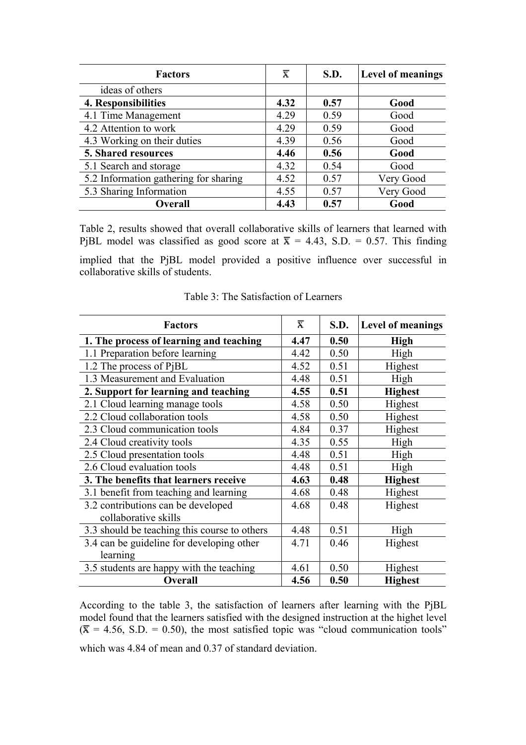| <b>Factors</b>                        | π    | <b>S.D.</b> | <b>Level of meanings</b> |
|---------------------------------------|------|-------------|--------------------------|
| ideas of others                       |      |             |                          |
| 4. Responsibilities                   | 4.32 | 0.57        | Good                     |
| 4.1 Time Management                   | 4.29 | 0.59        | Good                     |
| 4.2 Attention to work                 | 4.29 | 0.59        | Good                     |
| 4.3 Working on their duties           | 4.39 | 0.56        | Good                     |
| 5. Shared resources                   | 4.46 | 0.56        | Good                     |
| 5.1 Search and storage                | 4.32 | 0.54        | Good                     |
| 5.2 Information gathering for sharing | 4.52 | 0.57        | Very Good                |
| 5.3 Sharing Information               | 4.55 | 0.57        | Very Good                |
| <b>Overall</b>                        | 4.43 | 0.57        | Good                     |

Table 2, results showed that overall collaborative skills of learners that learned with PjBL model was classified as good score at  $\bar{x} = 4.43$ , S.D. = 0.57. This finding implied that the PjBL model provided a positive influence over successful in collaborative skills of students.

| <b>Factors</b>                                             | x    | <b>S.D.</b> | <b>Level of meanings</b> |
|------------------------------------------------------------|------|-------------|--------------------------|
| 1. The process of learning and teaching                    | 4.47 | 0.50        | <b>High</b>              |
| 1.1 Preparation before learning                            | 4.42 | 0.50        | High                     |
| 1.2 The process of PjBL                                    | 4.52 | 0.51        | Highest                  |
| 1.3 Measurement and Evaluation                             | 4.48 | 0.51        | High                     |
| 2. Support for learning and teaching                       | 4.55 | 0.51        | <b>Highest</b>           |
| 2.1 Cloud learning manage tools                            | 4.58 | 0.50        | Highest                  |
| 2.2 Cloud collaboration tools                              | 4.58 | 0.50        | Highest                  |
| 2.3 Cloud communication tools                              | 4.84 | 0.37        | Highest                  |
| 2.4 Cloud creativity tools                                 | 4.35 | 0.55        | High                     |
| 2.5 Cloud presentation tools                               | 4.48 | 0.51        | High                     |
| 2.6 Cloud evaluation tools                                 | 4.48 | 0.51        | High                     |
| 3. The benefits that learners receive                      | 4.63 | 0.48        | <b>Highest</b>           |
| 3.1 benefit from teaching and learning                     | 4.68 | 0.48        | Highest                  |
| 3.2 contributions can be developed<br>collaborative skills | 4.68 | 0.48        | Highest                  |
| 3.3 should be teaching this course to others               | 4.48 | 0.51        | High                     |
| 3.4 can be guideline for developing other                  | 4.71 | 0.46        | Highest                  |
| learning                                                   |      |             |                          |
| 3.5 students are happy with the teaching                   | 4.61 | 0.50        | Highest                  |
| <b>Overall</b>                                             | 4.56 | 0.50        | <b>Highest</b>           |

Table 3: The Satisfaction of Learners

According to the table 3, the satisfaction of learners after learning with the PjBL model found that the learners satisfied with the designed instruction at the highet level  $({\overline{x}} = 4.56, S.D. = 0.50)$ , the most satisfied topic was "cloud communication tools"

which was 4.84 of mean and 0.37 of standard deviation.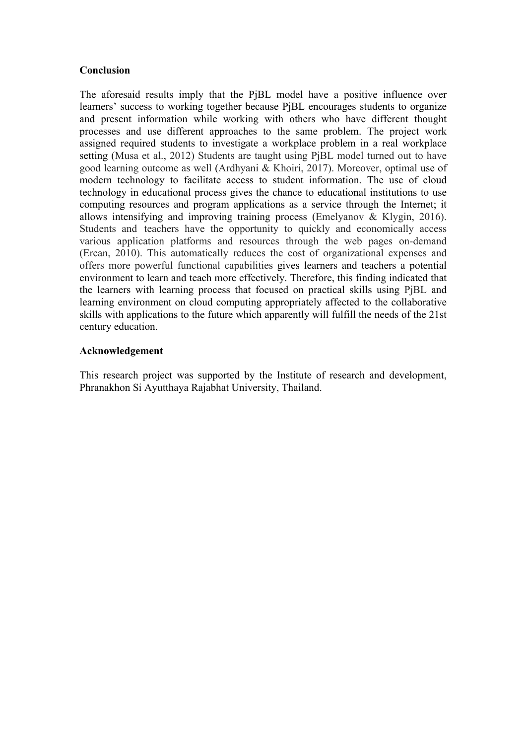### **Conclusion**

The aforesaid results imply that the PjBL model have a positive influence over learners' success to working together because PjBL encourages students to organize and present information while working with others who have different thought processes and use different approaches to the same problem. The project work assigned required students to investigate a workplace problem in a real workplace setting (Musa et al., 2012) Students are taught using PjBL model turned out to have good learning outcome as well (Ardhyani & Khoiri, 2017). Moreover, optimal use of modern technology to facilitate access to student information. The use of cloud technology in educational process gives the chance to educational institutions to use computing resources and program applications as a service through the Internet; it allows intensifying and improving training process (Emelyanov & Klygin, 2016). Students and teachers have the opportunity to quickly and economically access various application platforms and resources through the web pages on-demand (Ercan, 2010). This automatically reduces the cost of organizational expenses and offers more powerful functional capabilities gives learners and teachers a potential environment to learn and teach more effectively. Therefore, this finding indicated that the learners with learning process that focused on practical skills using PjBL and learning environment on cloud computing appropriately affected to the collaborative skills with applications to the future which apparently will fulfill the needs of the 21st century education.

#### **Acknowledgement**

This research project was supported by the Institute of research and development, Phranakhon Si Ayutthaya Rajabhat University, Thailand.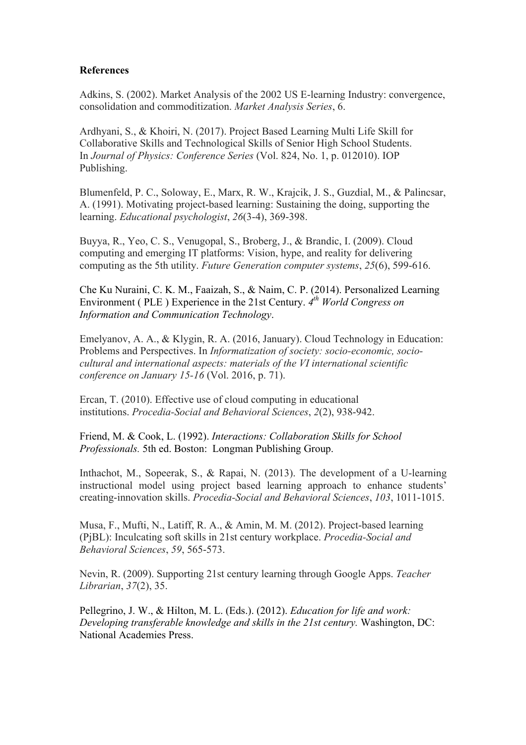### **References**

Adkins, S. (2002). Market Analysis of the 2002 US E-learning Industry: convergence, consolidation and commoditization. *Market Analysis Series*, 6.

Ardhyani, S., & Khoiri, N. (2017). Project Based Learning Multi Life Skill for Collaborative Skills and Technological Skills of Senior High School Students. In *Journal of Physics: Conference Series* (Vol. 824, No. 1, p. 012010). IOP Publishing.

Blumenfeld, P. C., Soloway, E., Marx, R. W., Krajcik, J. S., Guzdial, M., & Palincsar, A. (1991). Motivating project-based learning: Sustaining the doing, supporting the learning. *Educational psychologist*, *26*(3-4), 369-398.

Buyya, R., Yeo, C. S., Venugopal, S., Broberg, J., & Brandic, I. (2009). Cloud computing and emerging IT platforms: Vision, hype, and reality for delivering computing as the 5th utility. *Future Generation computer systems*, *25*(6), 599-616.

Che Ku Nuraini, C. K. M., Faaizah, S., & Naim, C. P. (2014). Personalized Learning Environment ( PLE ) Experience in the 21st Century. *4th World Congress on Information and Communication Technology*.

Emelyanov, A. A., & Klygin, R. A. (2016, January). Cloud Technology in Education: Problems and Perspectives. In *Informatization of society: socio-economic, sociocultural and international aspects: materials of the VI international scientific conference on January 15-16* (Vol. 2016, p. 71).

Ercan, T. (2010). Effective use of cloud computing in educational institutions. *Procedia-Social and Behavioral Sciences*, *2*(2), 938-942.

Friend, M. & Cook, L. (1992). *Interactions: Collaboration Skills for School Professionals.* 5th ed. Boston: Longman Publishing Group.

Inthachot, M., Sopeerak, S., & Rapai, N. (2013). The development of a U-learning instructional model using project based learning approach to enhance students' creating-innovation skills. *Procedia-Social and Behavioral Sciences*, *103*, 1011-1015.

Musa, F., Mufti, N., Latiff, R. A., & Amin, M. M. (2012). Project-based learning (PjBL): Inculcating soft skills in 21st century workplace. *Procedia-Social and Behavioral Sciences*, *59*, 565-573.

Nevin, R. (2009). Supporting 21st century learning through Google Apps. *Teacher Librarian*, *37*(2), 35.

Pellegrino, J. W., & Hilton, M. L. (Eds.). (2012). *Education for life and work: Developing transferable knowledge and skills in the 21st century.* Washington, DC: National Academies Press.